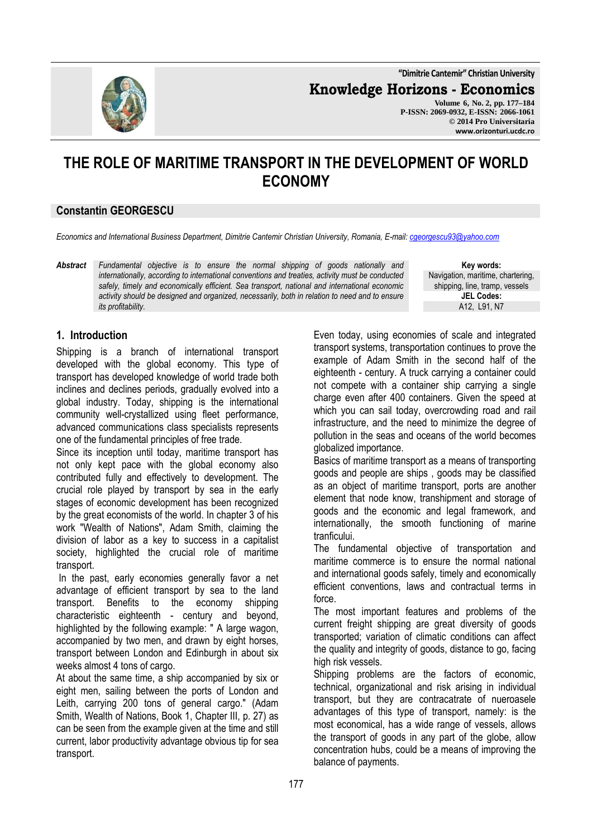**"Dimitrie Cantemir" Christian University**

**Knowledge Horizons - Economics**

**Volume 6, No. 2, pp. 177–184 P-ISSN: 2069-0932, E-ISSN: 2066-1061 © 2014 Pro Universitaria www.orizonturi.ucdc.ro**

# **THE ROLE OF MARITIME TRANSPORT IN THE DEVELOPMENT OF WORLD ECONOMY**

# **Constantin GEORGESCU**

*Economics and International Business Department, Dimitrie Cantemir Christian University, Romania, E-mail: cgeorgescu93@yahoo.com*

*Abstract Fundamental objective is to ensure the normal shipping of goods nationally and internationally, according to international conventions and treaties, activity must be conducted safely, timely and economically efficient. Sea transport, national and international economic activity should be designed and organized, necessarily, both in relation to need and to ensure its profitability.* 

**Key words:** Navigation, maritime, chartering, shipping, line, tramp, vessels **JEL Codes:** A12, L91, N7

## **1. Introduction**

Shipping is a branch of international transport developed with the global economy. This type of transport has developed knowledge of world trade both inclines and declines periods, gradually evolved into a global industry. Today, shipping is the international community well-crystallized using fleet performance, advanced communications class specialists represents one of the fundamental principles of free trade.

Since its inception until today, maritime transport has not only kept pace with the global economy also contributed fully and effectively to development. The crucial role played by transport by sea in the early stages of economic development has been recognized by the great economists of the world. In chapter 3 of his work "Wealth of Nations", Adam Smith, claiming the division of labor as a key to success in a capitalist society, highlighted the crucial role of maritime transport.

 In the past, early economies generally favor a net advantage of efficient transport by sea to the land transport. Benefits to the economy shipping characteristic eighteenth - century and beyond, highlighted by the following example: " A large wagon, accompanied by two men, and drawn by eight horses, transport between London and Edinburgh in about six weeks almost 4 tons of cargo.

At about the same time, a ship accompanied by six or eight men, sailing between the ports of London and Leith, carrying 200 tons of general cargo." (Adam Smith, Wealth of Nations, Book 1, Chapter III, p. 27) as can be seen from the example given at the time and still current, labor productivity advantage obvious tip for sea transport.

Even today, using economies of scale and integrated transport systems, transportation continues to prove the example of Adam Smith in the second half of the eighteenth - century. A truck carrying a container could not compete with a container ship carrying a single charge even after 400 containers. Given the speed at which you can sail today, overcrowding road and rail infrastructure, and the need to minimize the degree of pollution in the seas and oceans of the world becomes globalized importance.

Basics of maritime transport as a means of transporting goods and people are ships , goods may be classified as an object of maritime transport, ports are another element that node know, transhipment and storage of goods and the economic and legal framework, and internationally, the smooth functioning of marine tranficului.

The fundamental objective of transportation and maritime commerce is to ensure the normal national and international goods safely, timely and economically efficient conventions, laws and contractual terms in force.

The most important features and problems of the current freight shipping are great diversity of goods transported; variation of climatic conditions can affect the quality and integrity of goods, distance to go, facing high risk vessels.

Shipping problems are the factors of economic, technical, organizational and risk arising in individual transport, but they are contracatrate of nueroasele advantages of this type of transport, namely: is the most economical, has a wide range of vessels, allows the transport of goods in any part of the globe, allow concentration hubs, could be a means of improving the balance of payments.

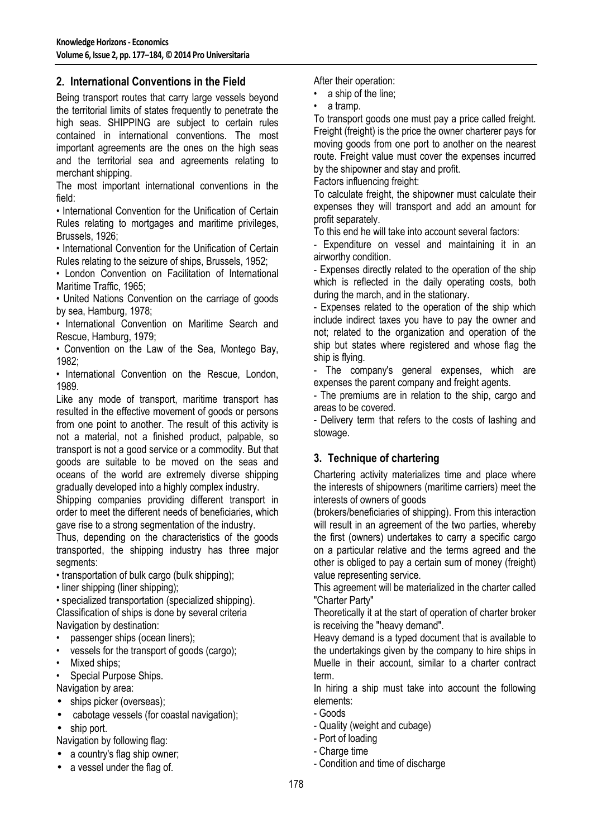# **2. International Conventions in the Field**

Being transport routes that carry large vessels beyond the territorial limits of states frequently to penetrate the high seas. SHIPPING are subject to certain rules contained in international conventions. The most important agreements are the ones on the high seas and the territorial sea and agreements relating to merchant shipping.

The most important international conventions in the field:

• International Convention for the Unification of Certain Rules relating to mortgages and maritime privileges, Brussels, 1926;

• International Convention for the Unification of Certain Rules relating to the seizure of ships, Brussels, 1952;

• London Convention on Facilitation of International Maritime Traffic, 1965;

• United Nations Convention on the carriage of goods by sea, Hamburg, 1978;

• International Convention on Maritime Search and Rescue, Hamburg, 1979;

• Convention on the Law of the Sea, Montego Bay, 1982;

• International Convention on the Rescue, London, 1989.

Like any mode of transport, maritime transport has resulted in the effective movement of goods or persons from one point to another. The result of this activity is not a material, not a finished product, palpable, so transport is not a good service or a commodity. But that goods are suitable to be moved on the seas and oceans of the world are extremely diverse shipping gradually developed into a highly complex industry.

Shipping companies providing different transport in order to meet the different needs of beneficiaries, which gave rise to a strong segmentation of the industry.

Thus, depending on the characteristics of the goods transported, the shipping industry has three major segments:

• transportation of bulk cargo (bulk shipping);

• liner shipping (liner shipping);

• specialized transportation (specialized shipping). Classification of ships is done by several criteria Navigation by destination:

- passenger ships (ocean liners);
- vessels for the transport of goods (cargo);
- Mixed ships;
- Special Purpose Ships.

Navigation by area:

- ships picker (overseas);
- cabotage vessels (for coastal navigation);
- ship port.

Navigation by following flag:

- a country's flag ship owner;
- a vessel under the flag of.

After their operation:

- a ship of the line;
- a tramp.

To transport goods one must pay a price called freight. Freight (freight) is the price the owner charterer pays for moving goods from one port to another on the nearest route. Freight value must cover the expenses incurred by the shipowner and stay and profit.

Factors influencing freight:

To calculate freight, the shipowner must calculate their expenses they will transport and add an amount for profit separately.

To this end he will take into account several factors:

- Expenditure on vessel and maintaining it in an airworthy condition.

- Expenses directly related to the operation of the ship which is reflected in the daily operating costs, both during the march, and in the stationary.

- Expenses related to the operation of the ship which include indirect taxes you have to pay the owner and not; related to the organization and operation of the ship but states where registered and whose flag the ship is flying.

- The company's general expenses, which are expenses the parent company and freight agents.

- The premiums are in relation to the ship, cargo and areas to be covered.

- Delivery term that refers to the costs of lashing and stowage.

# **3. Technique of chartering**

Chartering activity materializes time and place where the interests of shipowners (maritime carriers) meet the interests of owners of goods

(brokers/beneficiaries of shipping). From this interaction will result in an agreement of the two parties, whereby the first (owners) undertakes to carry a specific cargo on a particular relative and the terms agreed and the other is obliged to pay a certain sum of money (freight) value representing service.

This agreement will be materialized in the charter called "Charter Party"

Theoretically it at the start of operation of charter broker is receiving the "heavy demand".

Heavy demand is a typed document that is available to the undertakings given by the company to hire ships in Muelle in their account, similar to a charter contract term.

In hiring a ship must take into account the following elements:

- Goods
- Quality (weight and cubage)
- Port of loading
- Charge time
- Condition and time of discharge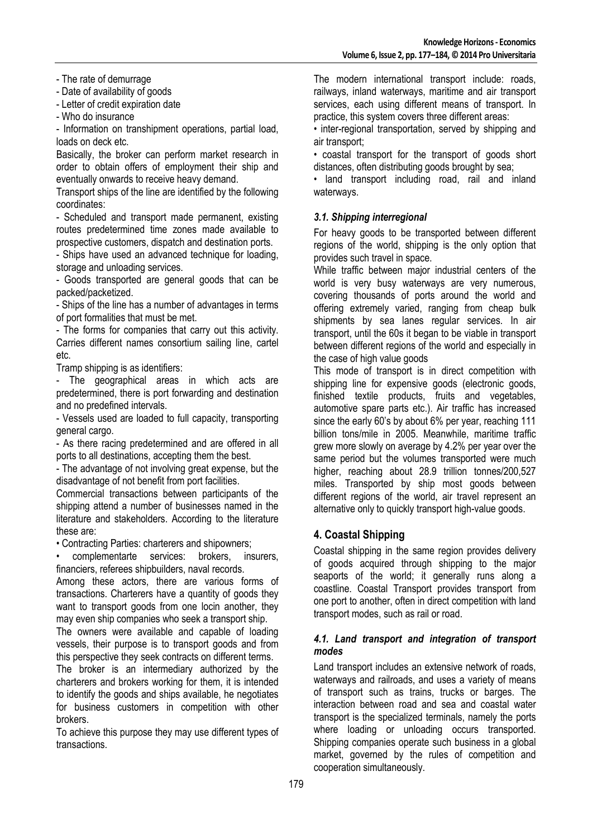- The rate of demurrage

- Date of availability of goods

- Letter of credit expiration date

- Who do insurance

- Information on transhipment operations, partial load, loads on deck etc.

Basically, the broker can perform market research in order to obtain offers of employment their ship and eventually onwards to receive heavy demand.

Transport ships of the line are identified by the following coordinates:

- Scheduled and transport made permanent, existing routes predetermined time zones made available to prospective customers, dispatch and destination ports.

- Ships have used an advanced technique for loading, storage and unloading services.

- Goods transported are general goods that can be packed/packetized.

- Ships of the line has a number of advantages in terms of port formalities that must be met.

- The forms for companies that carry out this activity. Carries different names consortium sailing line, cartel etc.

Tramp shipping is as identifiers:

- The geographical areas in which acts are predetermined, there is port forwarding and destination and no predefined intervals.

- Vessels used are loaded to full capacity, transporting general cargo.

- As there racing predetermined and are offered in all ports to all destinations, accepting them the best.

- The advantage of not involving great expense, but the disadvantage of not benefit from port facilities.

Commercial transactions between participants of the shipping attend a number of businesses named in the literature and stakeholders. According to the literature these are:

• Contracting Parties: charterers and shipowners;

• complementarte services: brokers, insurers, financiers, referees shipbuilders, naval records.

Among these actors, there are various forms of transactions. Charterers have a quantity of goods they want to transport goods from one locin another, they may even ship companies who seek a transport ship.

The owners were available and capable of loading vessels, their purpose is to transport goods and from this perspective they seek contracts on different terms.

The broker is an intermediary authorized by the charterers and brokers working for them, it is intended to identify the goods and ships available, he negotiates for business customers in competition with other brokers.

To achieve this purpose they may use different types of transactions.

The modern international transport include: roads, railways, inland waterways, maritime and air transport services, each using different means of transport. In practice, this system covers three different areas:

• inter-regional transportation, served by shipping and air transport;

• coastal transport for the transport of goods short distances, often distributing goods brought by sea;

• land transport including road, rail and inland waterways.

#### *3.1. Shipping interregional*

For heavy goods to be transported between different regions of the world, shipping is the only option that provides such travel in space.

While traffic between major industrial centers of the world is very busy waterways are very numerous, covering thousands of ports around the world and offering extremely varied, ranging from cheap bulk shipments by sea lanes regular services. In air transport, until the 60s it began to be viable in transport between different regions of the world and especially in the case of high value goods

This mode of transport is in direct competition with shipping line for expensive goods (electronic goods, finished textile products, fruits and vegetables, automotive spare parts etc.). Air traffic has increased since the early 60's by about 6% per year, reaching 111 billion tons/mile in 2005. Meanwhile, maritime traffic grew more slowly on average by 4.2% per year over the same period but the volumes transported were much higher, reaching about 28.9 trillion tonnes/200,527 miles. Transported by ship most goods between different regions of the world, air travel represent an alternative only to quickly transport high-value goods.

#### **4. Coastal Shipping**

Coastal shipping in the same region provides delivery of goods acquired through shipping to the major seaports of the world; it generally runs along a coastline. Coastal Transport provides transport from one port to another, often in direct competition with land transport modes, such as rail or road.

#### *4.1. Land transport and integration of transport modes*

Land transport includes an extensive network of roads, waterways and railroads, and uses a variety of means of transport such as trains, trucks or barges. The interaction between road and sea and coastal water transport is the specialized terminals, namely the ports where loading or unloading occurs transported. Shipping companies operate such business in a global market, governed by the rules of competition and cooperation simultaneously.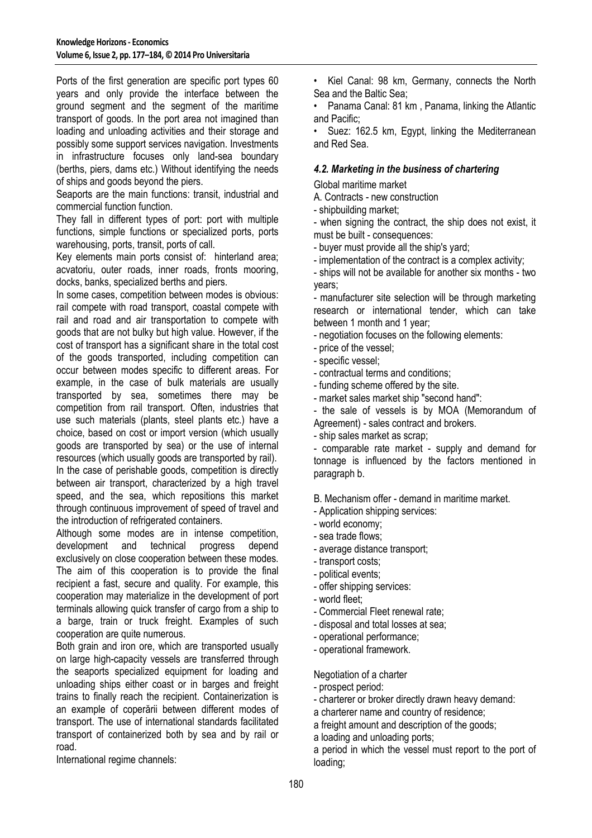Ports of the first generation are specific port types 60 years and only provide the interface between the ground segment and the segment of the maritime transport of goods. In the port area not imagined than loading and unloading activities and their storage and possibly some support services navigation. Investments in infrastructure focuses only land-sea boundary (berths, piers, dams etc.) Without identifying the needs of ships and goods beyond the piers.

Seaports are the main functions: transit, industrial and commercial function function.

They fall in different types of port: port with multiple functions, simple functions or specialized ports, ports warehousing, ports, transit, ports of call.

Key elements main ports consist of: hinterland area; acvatoriu, outer roads, inner roads, fronts mooring, docks, banks, specialized berths and piers.

In some cases, competition between modes is obvious: rail compete with road transport, coastal compete with rail and road and air transportation to compete with goods that are not bulky but high value. However, if the cost of transport has a significant share in the total cost of the goods transported, including competition can occur between modes specific to different areas. For example, in the case of bulk materials are usually transported by sea, sometimes there may be competition from rail transport. Often, industries that use such materials (plants, steel plants etc.) have a choice, based on cost or import version (which usually goods are transported by sea) or the use of internal resources (which usually goods are transported by rail). In the case of perishable goods, competition is directly between air transport, characterized by a high travel

speed, and the sea, which repositions this market through continuous improvement of speed of travel and the introduction of refrigerated containers.

Although some modes are in intense competition, development and technical progress depend exclusively on close cooperation between these modes. The aim of this cooperation is to provide the final recipient a fast, secure and quality. For example, this cooperation may materialize in the development of port terminals allowing quick transfer of cargo from a ship to a barge, train or truck freight. Examples of such cooperation are quite numerous.

Both grain and iron ore, which are transported usually on large high-capacity vessels are transferred through the seaports specialized equipment for loading and unloading ships either coast or in barges and freight trains to finally reach the recipient. Containerization is an example of coperării between different modes of transport. The use of international standards facilitated transport of containerized both by sea and by rail or road.

International regime channels:

• Kiel Canal: 98 km, Germany, connects the North Sea and the Baltic Sea;

• Panama Canal: 81 km , Panama, linking the Atlantic and Pacific;

Suez: 162.5 km, Egypt, linking the Mediterranean and Red Sea.

#### *4.2. Marketing in the business of chartering*

Global maritime market

A. Contracts - new construction

- shipbuilding market;

- when signing the contract, the ship does not exist, it must be built - consequences:

- buyer must provide all the ship's yard;

- implementation of the contract is a complex activity;

- ships will not be available for another six months - two years;

- manufacturer site selection will be through marketing research or international tender, which can take between 1 month and 1 year;

- negotiation focuses on the following elements:

- price of the vessel;

- specific vessel;
- contractual terms and conditions;
- funding scheme offered by the site.
- market sales market ship "second hand":

- the sale of vessels is by MOA (Memorandum of Agreement) - sales contract and brokers.

- ship sales market as scrap;

- comparable rate market - supply and demand for tonnage is influenced by the factors mentioned in paragraph b.

B. Mechanism offer - demand in maritime market.

- Application shipping services:

- world economy;
- sea trade flows;
- average distance transport;
- transport costs;
- political events;
- offer shipping services:
- world fleet;
- Commercial Fleet renewal rate;
- disposal and total losses at sea;
- operational performance;
- operational framework.

Negotiation of a charter

- prospect period:

- charterer or broker directly drawn heavy demand:
- a charterer name and country of residence;

a freight amount and description of the goods;

a loading and unloading ports;

a period in which the vessel must report to the port of loading;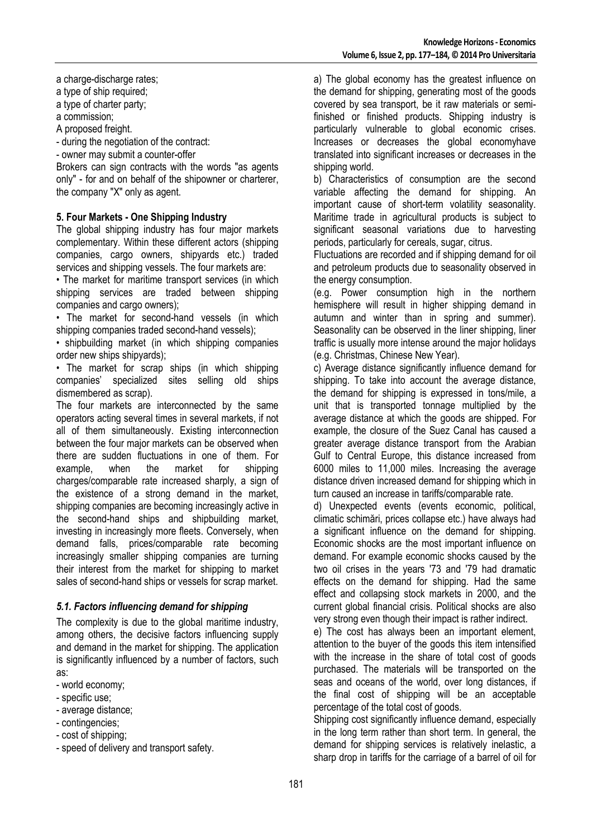a charge-discharge rates;

a type of ship required;

a type of charter party;

a commission;

A proposed freight.

- during the negotiation of the contract:

- owner may submit a counter-offer

Brokers can sign contracts with the words "as agents only" - for and on behalf of the shipowner or charterer, the company "X" only as agent.

### **5. Four Markets - One Shipping Industry**

The global shipping industry has four major markets complementary. Within these different actors (shipping companies, cargo owners, shipyards etc.) traded services and shipping vessels. The four markets are:

• The market for maritime transport services (in which shipping services are traded between shipping companies and cargo owners);

• The market for second-hand vessels (in which shipping companies traded second-hand vessels);

• shipbuilding market (in which shipping companies order new ships shipyards);

• The market for scrap ships (in which shipping companies' specialized sites selling old ships dismembered as scrap).

The four markets are interconnected by the same operators acting several times in several markets, if not all of them simultaneously. Existing interconnection between the four major markets can be observed when there are sudden fluctuations in one of them. For example, when the market for shipping charges/comparable rate increased sharply, a sign of the existence of a strong demand in the market, shipping companies are becoming increasingly active in the second-hand ships and shipbuilding market, investing in increasingly more fleets. Conversely, when demand falls, prices/comparable rate becoming increasingly smaller shipping companies are turning their interest from the market for shipping to market sales of second-hand ships or vessels for scrap market.

## *5.1. Factors influencing demand for shipping*

The complexity is due to the global maritime industry, among others, the decisive factors influencing supply and demand in the market for shipping. The application is significantly influenced by a number of factors, such as:

- world economy;

- specific use;
- average distance;
- contingencies;
- cost of shipping;
- speed of delivery and transport safety.

a) The global economy has the greatest influence on the demand for shipping, generating most of the goods covered by sea transport, be it raw materials or semifinished or finished products. Shipping industry is particularly vulnerable to global economic crises. Increases or decreases the global economyhave translated into significant increases or decreases in the shipping world.

b) Characteristics of consumption are the second variable affecting the demand for shipping. An important cause of short-term volatility seasonality. Maritime trade in agricultural products is subject to significant seasonal variations due to harvesting periods, particularly for cereals, sugar, citrus.

Fluctuations are recorded and if shipping demand for oil and petroleum products due to seasonality observed in the energy consumption.

(e.g. Power consumption high in the northern hemisphere will result in higher shipping demand in autumn and winter than in spring and summer). Seasonality can be observed in the liner shipping, liner traffic is usually more intense around the major holidays (e.g. Christmas, Chinese New Year).

c) Average distance significantly influence demand for shipping. To take into account the average distance, the demand for shipping is expressed in tons/mile, a unit that is transported tonnage multiplied by the average distance at which the goods are shipped. For example, the closure of the Suez Canal has caused a greater average distance transport from the Arabian Gulf to Central Europe, this distance increased from 6000 miles to 11,000 miles. Increasing the average distance driven increased demand for shipping which in turn caused an increase in tariffs/comparable rate.

d) Unexpected events (events economic, political, climatic schimări, prices collapse etc.) have always had a significant influence on the demand for shipping. Economic shocks are the most important influence on demand. For example economic shocks caused by the two oil crises in the years '73 and '79 had dramatic effects on the demand for shipping. Had the same effect and collapsing stock markets in 2000, and the current global financial crisis. Political shocks are also very strong even though their impact is rather indirect.

e) The cost has always been an important element, attention to the buyer of the goods this item intensified with the increase in the share of total cost of goods purchased. The materials will be transported on the seas and oceans of the world, over long distances, if the final cost of shipping will be an acceptable percentage of the total cost of goods.

Shipping cost significantly influence demand, especially in the long term rather than short term. In general, the demand for shipping services is relatively inelastic, a sharp drop in tariffs for the carriage of a barrel of oil for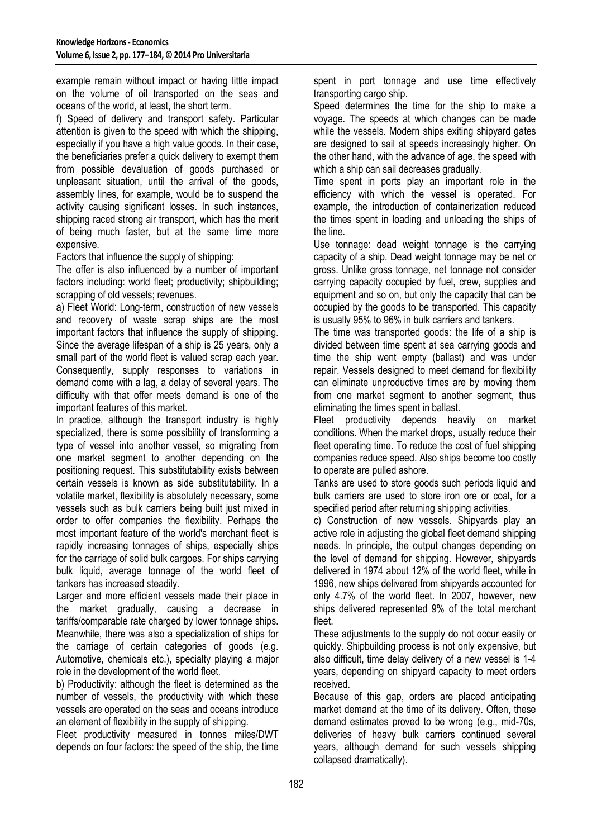example remain without impact or having little impact on the volume of oil transported on the seas and oceans of the world, at least, the short term.

f) Speed of delivery and transport safety. Particular attention is given to the speed with which the shipping, especially if you have a high value goods. In their case, the beneficiaries prefer a quick delivery to exempt them from possible devaluation of goods purchased or unpleasant situation, until the arrival of the goods, assembly lines, for example, would be to suspend the activity causing significant losses. In such instances, shipping raced strong air transport, which has the merit of being much faster, but at the same time more expensive.

Factors that influence the supply of shipping:

The offer is also influenced by a number of important factors including: world fleet; productivity; shipbuilding; scrapping of old vessels; revenues.

a) Fleet World: Long-term, construction of new vessels and recovery of waste scrap ships are the most important factors that influence the supply of shipping. Since the average lifespan of a ship is 25 years, only a small part of the world fleet is valued scrap each year. Consequently, supply responses to variations in demand come with a lag, a delay of several years. The difficulty with that offer meets demand is one of the important features of this market.

In practice, although the transport industry is highly specialized, there is some possibility of transforming a type of vessel into another vessel, so migrating from one market segment to another depending on the positioning request. This substitutability exists between certain vessels is known as side substitutability. In a volatile market, flexibility is absolutely necessary, some vessels such as bulk carriers being built just mixed in order to offer companies the flexibility. Perhaps the most important feature of the world's merchant fleet is rapidly increasing tonnages of ships, especially ships for the carriage of solid bulk cargoes. For ships carrying bulk liquid, average tonnage of the world fleet of tankers has increased steadily.

Larger and more efficient vessels made their place in the market gradually, causing a decrease in tariffs/comparable rate charged by lower tonnage ships. Meanwhile, there was also a specialization of ships for the carriage of certain categories of goods (e.g. Automotive, chemicals etc.), specialty playing a major role in the development of the world fleet.

b) Productivity: although the fleet is determined as the number of vessels, the productivity with which these vessels are operated on the seas and oceans introduce an element of flexibility in the supply of shipping.

Fleet productivity measured in tonnes miles/DWT depends on four factors: the speed of the ship, the time spent in port tonnage and use time effectively transporting cargo ship.

Speed determines the time for the ship to make a voyage. The speeds at which changes can be made while the vessels. Modern ships exiting shipyard gates are designed to sail at speeds increasingly higher. On the other hand, with the advance of age, the speed with which a ship can sail decreases gradually.

Time spent in ports play an important role in the efficiency with which the vessel is operated. For example, the introduction of containerization reduced the times spent in loading and unloading the ships of the line.

Use tonnage: dead weight tonnage is the carrying capacity of a ship. Dead weight tonnage may be net or gross. Unlike gross tonnage, net tonnage not consider carrying capacity occupied by fuel, crew, supplies and equipment and so on, but only the capacity that can be occupied by the goods to be transported. This capacity is usually 95% to 96% in bulk carriers and tankers.

The time was transported goods: the life of a ship is divided between time spent at sea carrying goods and time the ship went empty (ballast) and was under repair. Vessels designed to meet demand for flexibility can eliminate unproductive times are by moving them from one market segment to another segment, thus eliminating the times spent in ballast.

Fleet productivity depends heavily on market conditions. When the market drops, usually reduce their fleet operating time. To reduce the cost of fuel shipping companies reduce speed. Also ships become too costly to operate are pulled ashore.

Tanks are used to store goods such periods liquid and bulk carriers are used to store iron ore or coal, for a specified period after returning shipping activities.

c) Construction of new vessels. Shipyards play an active role in adjusting the global fleet demand shipping needs. In principle, the output changes depending on the level of demand for shipping. However, shipyards delivered in 1974 about 12% of the world fleet, while in 1996, new ships delivered from shipyards accounted for only 4.7% of the world fleet. In 2007, however, new ships delivered represented 9% of the total merchant fleet.

These adjustments to the supply do not occur easily or quickly. Shipbuilding process is not only expensive, but also difficult, time delay delivery of a new vessel is 1-4 years, depending on shipyard capacity to meet orders received.

Because of this gap, orders are placed anticipating market demand at the time of its delivery. Often, these demand estimates proved to be wrong (e.g., mid-70s, deliveries of heavy bulk carriers continued several years, although demand for such vessels shipping collapsed dramatically).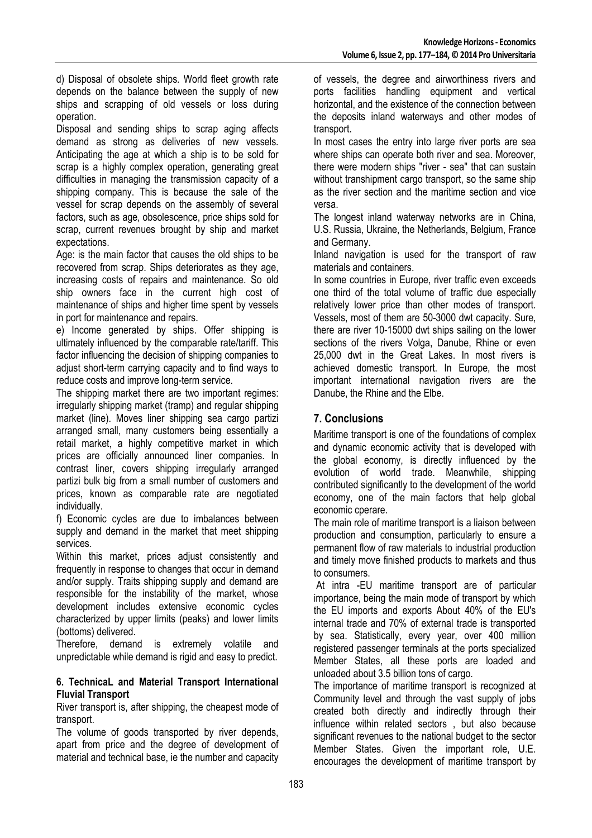d) Disposal of obsolete ships. World fleet growth rate depends on the balance between the supply of new ships and scrapping of old vessels or loss during operation.

Disposal and sending ships to scrap aging affects demand as strong as deliveries of new vessels. Anticipating the age at which a ship is to be sold for scrap is a highly complex operation, generating great difficulties in managing the transmission capacity of a shipping company. This is because the sale of the vessel for scrap depends on the assembly of several factors, such as age, obsolescence, price ships sold for scrap, current revenues brought by ship and market expectations.

Age: is the main factor that causes the old ships to be recovered from scrap. Ships deteriorates as they age, increasing costs of repairs and maintenance. So old ship owners face in the current high cost of maintenance of ships and higher time spent by vessels in port for maintenance and repairs.

e) Income generated by ships. Offer shipping is ultimately influenced by the comparable rate/tariff. This factor influencing the decision of shipping companies to adjust short-term carrying capacity and to find ways to reduce costs and improve long-term service.

The shipping market there are two important regimes: irregularly shipping market (tramp) and regular shipping market (line). Moves liner shipping sea cargo partizi arranged small, many customers being essentially a retail market, a highly competitive market in which prices are officially announced liner companies. In contrast liner, covers shipping irregularly arranged partizi bulk big from a small number of customers and prices, known as comparable rate are negotiated individually.

f) Economic cycles are due to imbalances between supply and demand in the market that meet shipping services.

Within this market, prices adjust consistently and frequently in response to changes that occur in demand and/or supply. Traits shipping supply and demand are responsible for the instability of the market, whose development includes extensive economic cycles characterized by upper limits (peaks) and lower limits (bottoms) delivered.

Therefore, demand is extremely volatile and unpredictable while demand is rigid and easy to predict.

#### **6. TechnicaL and Material Transport International Fluvial Transport**

River transport is, after shipping, the cheapest mode of transport.

The volume of goods transported by river depends, apart from price and the degree of development of material and technical base, ie the number and capacity

of vessels, the degree and airworthiness rivers and ports facilities handling equipment and vertical horizontal, and the existence of the connection between the deposits inland waterways and other modes of transport.

In most cases the entry into large river ports are sea where ships can operate both river and sea. Moreover, there were modern ships "river - sea" that can sustain without transhipment cargo transport, so the same ship as the river section and the maritime section and vice versa.

The longest inland waterway networks are in China, U.S. Russia, Ukraine, the Netherlands, Belgium, France and Germany.

Inland navigation is used for the transport of raw materials and containers.

In some countries in Europe, river traffic even exceeds one third of the total volume of traffic due especially relatively lower price than other modes of transport. Vessels, most of them are 50-3000 dwt capacity. Sure, there are river 10-15000 dwt ships sailing on the lower sections of the rivers Volga, Danube, Rhine or even 25,000 dwt in the Great Lakes. In most rivers is achieved domestic transport. In Europe, the most important international navigation rivers are the Danube, the Rhine and the Elbe.

# **7. Conclusions**

Maritime transport is one of the foundations of complex and dynamic economic activity that is developed with the global economy, is directly influenced by the evolution of world trade. Meanwhile, shipping contributed significantly to the development of the world economy, one of the main factors that help global economic cperare.

The main role of maritime transport is a liaison between production and consumption, particularly to ensure a permanent flow of raw materials to industrial production and timely move finished products to markets and thus to consumers.

 At intra -EU maritime transport are of particular importance, being the main mode of transport by which the EU imports and exports About 40% of the EU's internal trade and 70% of external trade is transported by sea. Statistically, every year, over 400 million registered passenger terminals at the ports specialized Member States, all these ports are loaded and unloaded about 3.5 billion tons of cargo.

The importance of maritime transport is recognized at Community level and through the vast supply of jobs created both directly and indirectly through their influence within related sectors , but also because significant revenues to the national budget to the sector Member States. Given the important role, U.E. encourages the development of maritime transport by